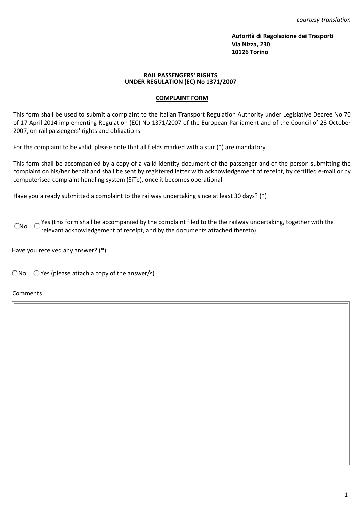*courtesy translation*

**Autorità di Regolazione dei Trasporti Via Nizza, 230 10126 Torino**

## **RAIL PASSENGERS' RIGHTS UNDER REGULATION (EC) No 1371/2007**

## **COMPLAINT FORM**

This form shall be used to submit a complaint to the Italian Transport Regulation Authority under Legislative Decree No 70 of 17 April 2014 implementing Regulation (EC) No 1371/2007 of the European Parliament and of the Council of 23 October 2007, on rail passengers' rights and obligations.

For the complaint to be valid, please note that all fields marked with a star (\*) are mandatory.

This form shall be accompanied by a copy of a valid identity document of the passenger and of the person submitting the complaint on his/her behalf and shall be sent by registered letter with acknowledgement of receipt, by certified e-mail or by computerised complaint handling system (SiTe), once it becomes operational.

Have you already submitted a complaint to the railway undertaking since at least 30 days? (\*)

 $C$ No  $C$ <sup>Yes</sup> (this form shall be accompanied by the complaint filed to the the railway undertaking, together with the relevant acknowledgement of receipt, and by the documents attached thereto).

Have you received any answer? (\*)

 $\bigcirc$  No  $\bigcirc$  Yes (please attach a copy of the answer/s)

Comments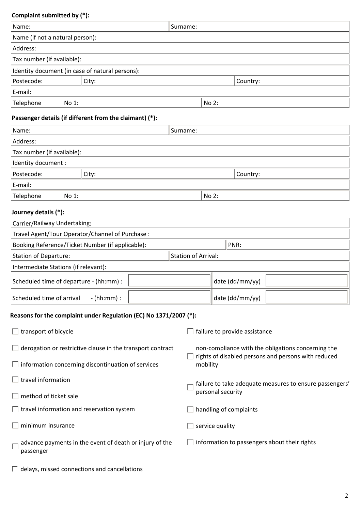| Complaint submitted by (*):                                          |                                                                   |          |                          |                                                                                                                       |  |  |  |
|----------------------------------------------------------------------|-------------------------------------------------------------------|----------|--------------------------|-----------------------------------------------------------------------------------------------------------------------|--|--|--|
| Name:                                                                |                                                                   | Surname: |                          |                                                                                                                       |  |  |  |
| Name (if not a natural person):                                      |                                                                   |          |                          |                                                                                                                       |  |  |  |
| Address:                                                             |                                                                   |          |                          |                                                                                                                       |  |  |  |
| Tax number (if available):                                           |                                                                   |          |                          |                                                                                                                       |  |  |  |
| Identity document (in case of natural persons):                      |                                                                   |          |                          |                                                                                                                       |  |  |  |
| Postecode:<br>City:                                                  |                                                                   |          |                          | Country:                                                                                                              |  |  |  |
| E-mail:                                                              |                                                                   |          |                          |                                                                                                                       |  |  |  |
| Telephone<br>No 1:                                                   |                                                                   |          |                          | No 2:                                                                                                                 |  |  |  |
| Passenger details (if different from the claimant) (*):              |                                                                   |          |                          |                                                                                                                       |  |  |  |
| Name:                                                                |                                                                   |          | Surname:                 |                                                                                                                       |  |  |  |
| Address:                                                             |                                                                   |          |                          |                                                                                                                       |  |  |  |
| Tax number (if available):                                           |                                                                   |          |                          |                                                                                                                       |  |  |  |
| Identity document :                                                  |                                                                   |          |                          |                                                                                                                       |  |  |  |
| Postecode:                                                           | City:                                                             |          |                          | Country:                                                                                                              |  |  |  |
| E-mail:                                                              |                                                                   |          |                          |                                                                                                                       |  |  |  |
| Telephone<br>No 1:                                                   |                                                                   |          |                          | No 2:                                                                                                                 |  |  |  |
| Journey details (*):                                                 |                                                                   |          |                          |                                                                                                                       |  |  |  |
| Carrier/Railway Undertaking:                                         |                                                                   |          |                          |                                                                                                                       |  |  |  |
| Travel Agent/Tour Operator/Channel of Purchase :                     |                                                                   |          |                          |                                                                                                                       |  |  |  |
| Booking Reference/Ticket Number (if applicable):                     |                                                                   |          |                          | PNR:                                                                                                                  |  |  |  |
| <b>Station of Departure:</b><br><b>Station of Arrival:</b>           |                                                                   |          |                          |                                                                                                                       |  |  |  |
| Intermediate Stations (if relevant):                                 |                                                                   |          |                          |                                                                                                                       |  |  |  |
| Scheduled time of departure - (hh:mm) :                              |                                                                   |          |                          | date (dd/mm/yy)                                                                                                       |  |  |  |
| Scheduled time of arrival<br>$-$ (hh:mm) :                           |                                                                   |          |                          | date (dd/mm/yy)                                                                                                       |  |  |  |
| Reasons for the complaint under Regulation (EC) No 1371/2007 (*):    |                                                                   |          |                          |                                                                                                                       |  |  |  |
| $\Box$ transport of bicycle                                          |                                                                   |          |                          | failure to provide assistance                                                                                         |  |  |  |
|                                                                      | $\Box$ derogation or restrictive clause in the transport contract |          |                          | non-compliance with the obligations concerning the<br>rights of disabled persons and persons with reduced<br>mobility |  |  |  |
| $\Box$ information concerning discontinuation of services            |                                                                   |          |                          |                                                                                                                       |  |  |  |
| $\Box$ travel information                                            |                                                                   |          |                          | failure to take adequate measures to ensure passengers'<br>personal security                                          |  |  |  |
| $\Box$ method of ticket sale                                         |                                                                   |          |                          |                                                                                                                       |  |  |  |
| $\Box$ travel information and reservation system                     |                                                                   |          |                          | handling of complaints                                                                                                |  |  |  |
| minimum insurance                                                    |                                                                   |          |                          | service quality                                                                                                       |  |  |  |
| advance payments in the event of death or injury of the<br>passenger |                                                                   |          | $\overline{\phantom{a}}$ | information to passengers about their rights                                                                          |  |  |  |

 $\Box$  delays, missed connections and cancellations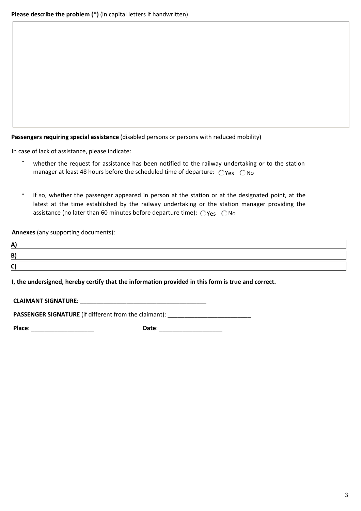**Passengers requiring special assistance** (disabled persons or persons with reduced mobility)

In case of lack of assistance, please indicate:

- whether the request for assistance has been notified to the railway undertaking or to the station manager at least 48 hours before the scheduled time of departure:  $\bigcirc$ Yes  $\bigcirc$ No
- if so, whether the passenger appeared in person at the station or at the designated point, at the latest at the time established by the railway undertaking or the station manager providing the assistance (no later than 60 minutes before departure time):  $\bigcirc$ Yes  $\bigcirc$ No

**Annexes** (any supporting documents):

| - |  |
|---|--|
| - |  |
| - |  |

**I, the undersigned, hereby certify that the information provided in this form is true and correct.**

 **CLAIMANT SIGNATURE**: \_\_\_\_\_\_\_\_\_\_\_\_\_\_\_\_\_\_\_\_\_\_\_\_\_\_\_\_\_\_\_\_\_\_\_\_\_\_

**PASSENGER SIGNATURE** (if different from the claimant):

**Place**: \_\_\_\_\_\_\_\_\_\_\_\_\_\_\_\_\_\_\_ **Date**: \_\_\_\_\_\_\_\_\_\_\_\_\_\_\_\_\_\_\_